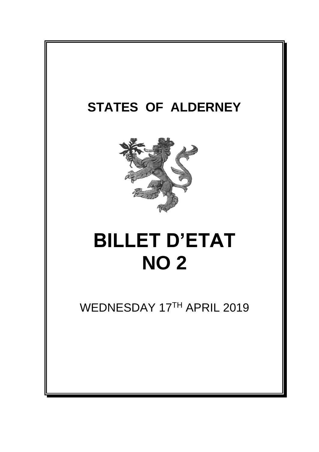